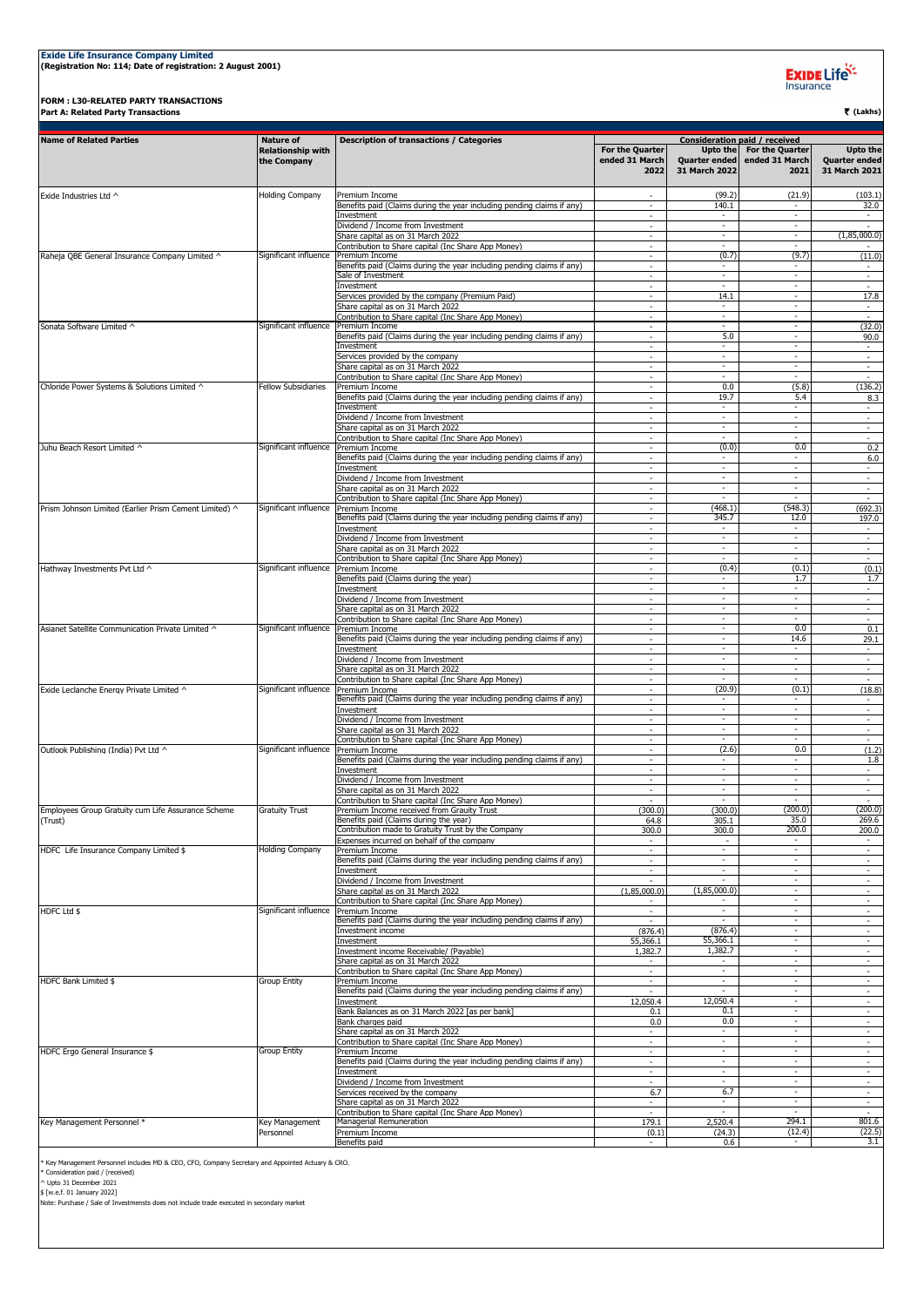## **Exide Life Insurance Company Limited (Registration No: 114; Date of registration: 2 August 2001)**

**FORM : L30-RELATED PARTY TRANSACTIONS Part A: Related Party Transactions** ` **(Lakhs)**

Exide Life<sup>k</sup>

| <b>Name of Related Parties</b>                         | <b>Nature of</b>                        | <b>Description of transactions / Categories</b>                                              | <b>Consideration paid / received</b>      |                                            |                                                  |                                                          |  |  |
|--------------------------------------------------------|-----------------------------------------|----------------------------------------------------------------------------------------------|-------------------------------------------|--------------------------------------------|--------------------------------------------------|----------------------------------------------------------|--|--|
|                                                        | <b>Relationship with</b><br>the Company |                                                                                              | For the Quarter<br>ended 31 March<br>2022 | Upto the<br>Quarter ended<br>31 March 2022 | <b>For the Quarter</b><br>ended 31 March<br>2021 | <b>Upto the</b><br><b>Quarter ended</b><br>31 March 2021 |  |  |
| Exide Industries Ltd ^                                 | <b>Holding Company</b>                  | Premium Income                                                                               |                                           | (99.2)                                     | (21.9)                                           | (103.1)                                                  |  |  |
|                                                        |                                         | Benefits paid (Claims during the year including pending claims if any)<br>Investment         | $\overline{\phantom{a}}$                  | 140.1                                      | ٠                                                | 32.0<br>$\overline{\phantom{a}}$                         |  |  |
|                                                        |                                         | Dividend / Income from Investment                                                            | $\sim$                                    | $\sim$                                     | $\sim$                                           | $\sim$                                                   |  |  |
|                                                        |                                         | Share capital as on 31 March 2022<br>Contribution to Share capital (Inc Share App Money)     | $\mathbf{r}$                              | $\sim$                                     | $\sim$                                           | (1,85,000.0)                                             |  |  |
| Raheja QBE General Insurance Company Limited ^         | Significant influence                   | Premium Income                                                                               |                                           | (0.7)                                      | (9.7)                                            | (11.0)                                                   |  |  |
|                                                        |                                         | Benefits paid (Claims during the year including pending claims if any)<br>Sale of Investment | $\sim$                                    | $\blacksquare$                             |                                                  | $\sim$<br>$\overline{\phantom{a}}$                       |  |  |
|                                                        |                                         | Investment                                                                                   | $\sim$                                    | $\sim$                                     | $\overline{\phantom{a}}$                         | $\sim$                                                   |  |  |
|                                                        |                                         | Services provided by the company (Premium Paid)<br>Share capital as on 31 March 2022         | $\sim$<br>$\mathbf{r}$                    | 14.1<br>$\sim$                             | $\overline{\phantom{a}}$<br>$\omega$             | 17.8<br>$\sim$                                           |  |  |
|                                                        |                                         | Contribution to Share capital (Inc Share App Money)                                          | ÷                                         | $\sim$                                     | $\omega$                                         | $\sim$                                                   |  |  |
| Sonata Software Limited ^                              | Significant influence                   | Premium Income<br>Benefits paid (Claims during the year including pending claims if any)     |                                           | $\sim$<br>5.0                              | $\sim$<br>$\overline{\phantom{a}}$               | (32.0)<br>90.0                                           |  |  |
|                                                        |                                         | Investment                                                                                   | $\sim$                                    | $\sim$                                     | $\overline{\phantom{a}}$                         | $\sim$                                                   |  |  |
|                                                        |                                         | Services provided by the company<br>Share capital as on 31 March 2022                        | $\sim$                                    | $\sim$<br>$\sim$                           | $\sim$<br>$\sim$                                 | $\sim$<br>$\sim$                                         |  |  |
|                                                        |                                         | Contribution to Share capital (Inc Share App Money)                                          | $\sim$                                    | ÷.                                         | $\mathbf{r}$                                     | $\mathbf{r}$                                             |  |  |
| Chloride Power Systems & Solutions Limited ^           | <b>Fellow Subsidiaries</b>              | Premium Income<br>Benefits paid (Claims during the year including pending claims if any)     | $\overline{\phantom{a}}$                  | 0.0<br>19.7                                | (5.8)<br>5.4                                     | (136.2)                                                  |  |  |
|                                                        |                                         | Investment                                                                                   | $\sim$                                    | $\sim$                                     | $\sim$                                           | 8.3<br>$\sim$                                            |  |  |
|                                                        |                                         | Dividend / Income from Investment<br>Share capital as on 31 March 2022                       | $\sim$<br>$\sim$                          | $\sim$<br>$\sim$                           | $\sim$<br>$\omega$                               | $\sim$<br>$\omega$                                       |  |  |
|                                                        |                                         | Contribution to Share capital (Inc Share App Money)                                          | ÷                                         | $\sim$                                     | $\omega$                                         | $\bar{\phantom{a}}$                                      |  |  |
| Juhu Beach Resort Limited ^                            | Significant influence                   | Premium Income<br>Benefits paid (Claims during the year including pending claims if any)     |                                           | (0.0)                                      | 0.0                                              | 0.2                                                      |  |  |
|                                                        |                                         | Investment                                                                                   | $\sim$                                    | $\sim$                                     | $\sim$                                           | 6.0<br>$\sim$                                            |  |  |
|                                                        |                                         | Dividend / Income from Investment                                                            | $\equiv$                                  | $\sim$<br>$\sim$                           | $\sim$<br>$\omega$                               | $\sim$                                                   |  |  |
|                                                        |                                         | Share capital as on 31 March 2022<br>Contribution to Share capital (Inc Share App Money)     | $\sim$                                    |                                            |                                                  | $\omega$<br>$\sim$                                       |  |  |
| Prism Johnson Limited (Earlier Prism Cement Limited) ^ | Significant influence                   | Premium Income                                                                               |                                           | (468.1)                                    | (548.3)                                          | (692.3)                                                  |  |  |
|                                                        |                                         | Benefits paid (Claims during the year including pending claims if any)<br>Investment         | ٠<br>$\overline{\phantom{a}}$             | 345.7<br>$\overline{\phantom{a}}$          | 12.0<br>٠                                        | 197.0<br>$\sim$                                          |  |  |
|                                                        |                                         | Dividend / Income from Investment                                                            | $\sim$                                    | $\sim$                                     | $\sim$                                           | $\sim$                                                   |  |  |
|                                                        |                                         | Share capital as on 31 March 2022<br>Contribution to Share capital (Inc Share App Money)     | ÷<br>$\blacksquare$                       | $\sim$<br>÷.                               | $\sim$<br>÷                                      | $\mathbf{r}$                                             |  |  |
| Hathway Investments Pvt Ltd ^                          | Significant influence Premium Income    |                                                                                              |                                           | (0.4)                                      | (0.1)                                            | (0.1)                                                    |  |  |
|                                                        |                                         | Benefits paid (Claims during the year)<br>Investment                                         | $\sim$                                    | $\sim$                                     | 1.7<br>$\overline{\phantom{a}}$                  | 1.7<br>$\sim$                                            |  |  |
|                                                        |                                         | Dividend / Income from Investment                                                            | $\sim$                                    | $\sim$                                     | $\sim$                                           | $\sim$                                                   |  |  |
|                                                        |                                         | Share capital as on 31 March 2022<br>Contribution to Share capital (Inc Share App Money)     | $\sim$                                    | $\sim$<br>$\sim$                           | $\sim$<br>$\omega$                               | ÷<br>$\equiv$                                            |  |  |
| Asianet Satellite Communication Private Limited ^      | Significant influence                   | Premium Income                                                                               | $\mathbf{r}$                              | $\sim$                                     | 0.0                                              | 0.1                                                      |  |  |
|                                                        |                                         | Benefits paid (Claims during the year including pending claims if any)<br>Investment         | $\overline{\phantom{a}}$                  | $\sim$<br>$\overline{\phantom{a}}$         | 14.6<br>٠                                        | 29.1<br>$\sim$                                           |  |  |
|                                                        |                                         | Dividend / Income from Investment                                                            | $\sim$                                    | $\sim$                                     | $\sim$                                           | $\sim$                                                   |  |  |
|                                                        |                                         | Share capital as on 31 March 2022<br>Contribution to Share capital (Inc Share App Money)     | $\sim$                                    | $\sim$<br>$\sim$                           | $\sim$<br>$\omega$                               | $\sim$                                                   |  |  |
| Exide Leclanche Energy Private Limited ^               | Significant influence                   | Premium Income                                                                               |                                           | (20.9)                                     | (0.1)                                            | (18.8)                                                   |  |  |
|                                                        |                                         | Benefits paid (Claims during the year including pending claims if any)<br>Investment         |                                           |                                            | $\overline{\phantom{a}}$                         | $\overline{\phantom{a}}$                                 |  |  |
|                                                        |                                         | Dividend / Income from Investment                                                            | $\sim$                                    | $\sim$                                     | $\sim$                                           | $\sim$                                                   |  |  |
|                                                        |                                         | Share capital as on 31 March 2022<br>Contribution to Share capital (Inc Share App Money)     | $\equiv$                                  | $\sim$                                     | $\sim$                                           | $\sim$                                                   |  |  |
| Outlook Publishing (India) Pvt Ltd ^                   | Significant influence                   | Premium Income                                                                               |                                           | (2.6)                                      | 0.0                                              | (1.2)                                                    |  |  |
|                                                        |                                         | Benefits paid (Claims during the year including pending claims if any)<br>Investment         |                                           |                                            |                                                  | 1.8<br>٠.                                                |  |  |
|                                                        |                                         | Dividend / Income from Investment                                                            | $\sim$                                    | $\sim$                                     | $\overline{\phantom{a}}$                         | $\sim$                                                   |  |  |
|                                                        |                                         | Share capital as on 31 March 2022<br>Contribution to Share capital (Inc Share App Money)     | $\sim$                                    | $\sim$<br>$\sim$                           | $\sim$<br>$\omega$                               | $\sim$                                                   |  |  |
| Employees Group Gratuity cum Life Assurance Scheme     | <b>Gratuity Trust</b>                   | Premium Income received from Grauity Trust                                                   | (300.0)                                   | (300.0)                                    | (200.0)                                          | (200.0)                                                  |  |  |
| (Trust)                                                |                                         | Benefits paid (Claims during the year)<br>Contribution made to Gratuity Trust by the Company | 64.8<br>300.0                             | 305.1<br>300.0                             | 35.0<br>200.0                                    | 269.6<br>200.0                                           |  |  |
|                                                        |                                         | Expenses incurred on behalf of the company                                                   | $\sim$                                    | $\overline{\phantom{a}}$                   | $\sim$                                           | $\sim$                                                   |  |  |
| HDFC Life Insurance Company Limited \$                 | <b>Holding Company</b>                  | Premium Income<br>Benefits paid (Claims during the year including pending claims if any)     | $\sim$<br>$\mathbf{r}$                    | $\sim$<br>$\sim$                           | $\sim$<br>$\sim$                                 | $\sim$<br>$\mathbf{r}$                                   |  |  |
|                                                        |                                         | Investment                                                                                   | ÷                                         | $\sim$                                     | ÷.                                               | ÷                                                        |  |  |
|                                                        |                                         | Dividend / Income from Investment<br>Share capital as on 31 March 2022                       | (1,85,000.0)                              | (1,85,000.0)                               | $\omega$                                         | $\overline{\phantom{a}}$                                 |  |  |
|                                                        |                                         | Contribution to Share capital (Inc Share App Money)                                          |                                           |                                            | $\omega$                                         | $\blacksquare$                                           |  |  |
| HDFC Ltd \$                                            | Significant influence Premium Income    | Benefits paid (Claims during the year including pending claims if any)                       | $\sim$                                    | $\sim$<br>$\sim$                           | $\sim$<br>$\overline{\phantom{a}}$               | $\sim$<br>$\sim$                                         |  |  |
|                                                        |                                         | Investment income                                                                            | (876.4)                                   | (876.4)                                    | ÷.                                               | $\mathbf{r}$                                             |  |  |
|                                                        |                                         | Investment<br>Investment income Receivable/ (Payable)                                        | 55,366.1<br>1,382.7                       | 55,366.1<br>1,382.7                        | $\omega$<br>$\overline{\phantom{a}}$             | $\overline{\phantom{a}}$<br>$\overline{\phantom{a}}$     |  |  |
|                                                        |                                         | Share capital as on 31 March 2022                                                            | $\sim$                                    |                                            |                                                  | $\overline{\phantom{a}}$                                 |  |  |
| HDFC Bank Limited \$                                   | <b>Group Entity</b>                     | Contribution to Share capital (Inc Share App Money)<br>Premium Income                        | $\sim$<br>$\sim$                          | $\sim$<br>$\sim$                           | $\sim$<br>$\sim$                                 | $\sim$<br>$\omega$                                       |  |  |
|                                                        |                                         | Benefits paid (Claims during the year including pending claims if any)                       |                                           |                                            | $\omega$                                         | ÷                                                        |  |  |
|                                                        |                                         | Investment<br>Bank Balances as on 31 March 2022 [as per bank]                                | 12,050.4                                  | 12,050.4<br>0.1                            | $\sim$<br>$\omega$                               | $\mathbf{r}$<br>$\overline{\phantom{a}}$                 |  |  |
|                                                        |                                         | Bank charges paid                                                                            | 0.1<br>0.0                                | 0.0                                        | ÷,                                               | $\overline{\phantom{a}}$                                 |  |  |
|                                                        |                                         | Share capital as on 31 March 2022                                                            | $\blacksquare$                            | $\sim$                                     | $\overline{\phantom{a}}$                         | $\blacksquare$                                           |  |  |
| HDFC Ergo General Insurance \$                         | Group Entity                            | Contribution to Share capital (Inc Share App Money)<br>Premium Income                        | $\mathbf{r}$<br>$\sim$                    | $\blacksquare$<br>$\sim$                   | $\bar{a}$<br>$\omega$                            | $\mathbf{r}$<br>$\sim$                                   |  |  |
|                                                        |                                         | Benefits paid (Claims during the year including pending claims if any)                       | $\sim$                                    | $\sim$                                     | $\omega$                                         | ÷                                                        |  |  |
|                                                        |                                         | Investment<br>Dividend / Income from Investment                                              |                                           | $\sim$                                     | $\sim$<br>٠                                      | $\overline{\phantom{a}}$<br>٠                            |  |  |
|                                                        |                                         | Services received by the company                                                             | 6.7                                       | 6.7                                        | $\sim$                                           | $\sim$                                                   |  |  |
|                                                        |                                         | Share capital as on 31 March 2022<br>Contribution to Share capital (Inc Share App Money)     | $\sim$                                    | $\sim$                                     | $\sim$                                           | $\sim$                                                   |  |  |
| Key Management Personnel *                             | Key Management                          | Managerial Remuneration                                                                      | 179.1                                     | 2,520.4                                    | 294.1                                            | 801.6                                                    |  |  |
|                                                        | Personnel                               | Premium Income<br>Benefits paid                                                              | (0.1)                                     | (24.3)<br>0.6                              | (12.4)                                           | (22.5)<br>3.1                                            |  |  |

\* Key Management Personnel includes MD & CEO, CFO, Company Secretary and Appointed Actuary & CRO.<br>\* Consideration paid / (received)<br>^ Upto 31 December 2021<br>§ (w.e.f. 01 January 2022)<br>Note: Purchase / Sale of Investmensts d